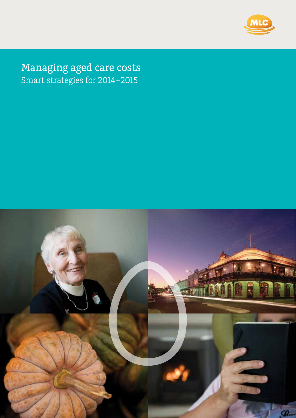

Managing aged care costs Smart strategies for 2014–2015

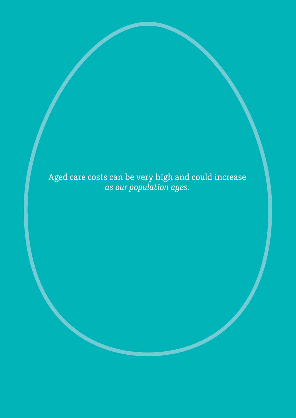Aged care costs can be very high and could increase *as our population ages.*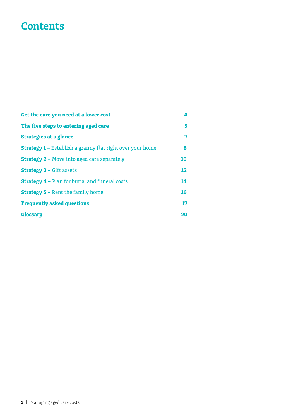# **Contents**

| Get the care you need at a lower cost                            | 4  |
|------------------------------------------------------------------|----|
| The five steps to entering aged care                             | 5  |
| <b>Strategies at a glance</b>                                    | 7  |
| <b>Strategy 1 - Establish a granny flat right over your home</b> | 8  |
| <b>Strategy 2 - Move into aged care separately</b>               | 10 |
| <b>Strategy 3 - Gift assets</b>                                  | 12 |
| <b>Strategy 4 - Plan for burial and funeral costs</b>            | 14 |
| <b>Strategy 5 - Rent the family home</b>                         | 16 |
| <b>Frequently asked questions</b>                                | 17 |
| <b>Glossary</b>                                                  | 20 |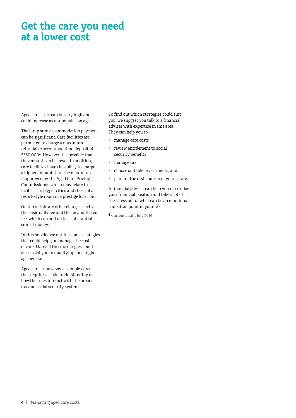# **Get the care you need at a lower cost**

Aged care costs can be very high and could increase as our population ages.

The lump sum accommodation payment can be significant. Care facilities are permitted to charge a maximum refundable accommodation deposit of \$550,000**<sup>1</sup>**. However it is possible that the amount can be lower. In addition, care facilities have the ability to charge a higher amount than the maximum if approved by the Aged Care Pricing Commissioner, which may relate to facilities in bigger cities and those of a resort-style room in a prestige location.

On top of this are other charges, such as the basic daily fee and the means-tested fee, which can add up to a substantial sum of money.

In this booklet we outline some strategies that could help you manage the costs of care. Many of these strategies could also assist you in qualifying for a higher age pension.

Aged care is, however, a complex area that requires a solid understanding of how the rules interact with the broader tax and social security system.

To find out which strategies could suit you, we suggest you talk to a financial adviser with expertise in this area. They can help you to:

- manage care costs
- review entitlement to social security benefits
- • manage tax
- • choose suitable investments, and
- plan for the distribution of your estate.

A financial adviser can help you maximise your financial position and take a lot of the stress out of what can be an emotional transition point in your life.

**1** Current as at 1 July 2014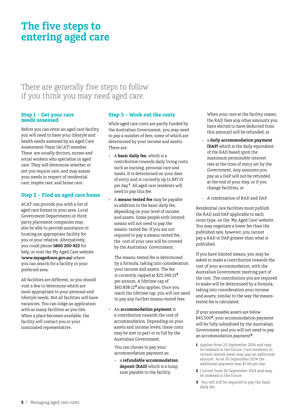# **The five steps to entering aged care**

There are generally five steps to follow if you think you may need aged care.

### **Step 1 – Get your care needs assessed**

Before you can enter an aged care facility, you will need to have your lifestyle and health needs assessed by an Aged Care Assessment Team (ACAT) member. These are usually doctors, nurses and social workers who specialise in aged care. They will determine whether or not you require care, and may assess your needs in respect of residential care, respite care, and home care.

### **Step 2 – Find an aged care home**

ACAT can provide you with a list of aged care homes in your area. Local Government Departments or third party placement companies may also be able to provide assistance in locating an appropriate facility for you or your relative. Alternatively, you could phone **1800 200 422** for help, or visit the My Aged Care website (**www.myagedcare.gov.au)** where you can search for a facility in your preferred area.

All facilities are different, so you should visit a few to determine which are most appropriate to your personal and lifestyle needs. Not all facilities will have vacancies. You can lodge an application with as many facilities as you like. When a place becomes available, the facility will contact you or your nominated representative.

### **Step 3 – Work out the costs**

While aged care costs are partly funded by the Australian Government, you may need to pay a number of fees, some of which are determined by your income and assets. These are:

- • A **basic daily fee**, which is a contribution towards daily living costs, such as nursing, personal care and meals. It is determined on your date of entry and is currently up to \$47.15 per day **1**. All aged care residents will need to pay this fee.
- A **means-tested fee** may be payable in addition to the basic daily fee, depending on your level of income and assets. Some people with limited means will not need to pay the means- tested fee. If you are not required to pay a means-tested fee, the cost of your care will be covered by the Australian Government.

 The means-tested fee is determined by a formula, taking into consideration your income and assets. The fee is currently capped at \$25,349.21**<sup>2</sup>** per annum. A lifetime cap of \$60,838.12**2** also applies. Once you reach the lifetime cap, you will not need to pay any further means-tested fees.

An **accommodation payment** is a contribution towards the cost of accommodation. Depending on your assets and income levels, these costs may be met in part or in full by the Australian Government.

 You can choose to pay your accommodation payment as:

– a **refundable accommodation deposit (RAD)** which is a lump sum payable to the facility.

When your care at the facility ceases, the RAD (less any other amounts you have elected to have deducted from this amount) will be refunded, or

- a **daily accommodation payment (DAP)** which is the daily equivalent of the RAD based upon the maximum permissible interest rate at the time of entry set by the Government. Any amounts you pay as a DAP will not be refunded at the end of your stay, or if you change facilities, or
- A combination of RAD and DAP.

Residential care facilities must publish the RAD and DAP applicable to each room type, on the 'My Aged Care' website. You may negotiate a lower fee than the published rate, however, you cannot pay a RAD or DAP greater than what is published.

If you have limited means, you may be asked to make a contribution towards the cost of your accommodation, with the Australian Government meeting part of the cost. The contribution you are required to make will be determined by a formula, taking into consideration your income and assets, similar to the way the meanstested fee is calculated.

If your assessable assets are below \$45,500**<sup>2</sup>**, your accommodation payment will be fully subsidised by the Australian Government and you will not need to pay an accommodation payment**<sup>3</sup>**.

- **1** Applies from 20 September 2014 and may be indexed in the future. Care residents in certain remote areas may pay an additional amount. As at 20 September 2014 the additional payment was \$1.06 per day.
- **2** Current from 20 September 2014 and may be indexed in the future.
- **3** You will still be required to pay the basic daily fee.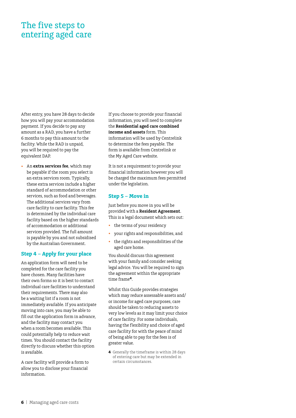## The five steps to entering aged care

After entry, you have 28 days to decide how you will pay your accommodation payment. If you decide to pay any amount as a RAD, you have a further 6 months to pay this amount to the facility. While the RAD is unpaid, you will be required to pay the equivalent DAP.

An **extra services fee**, which may be payable if the room you select is an extra services room. Typically, these extra services include a higher standard of accommodation or other services, such as food and beverages. The additional services vary from care facility to care facility. This fee is determined by the individual care facility based on the higher standards of accommodation or additional services provided. The full amount is payable by you and not subsidised by the Australian Government.

### **Step 4 – Apply for your place**

An application form will need to be completed for the care facility you have chosen. Many facilities have their own forms so it is best to contact individual care facilities to understand their requirements. There may also be a waiting list if a room is not immediately available. If you anticipate moving into care, you may be able to fill out the application form in advance, and the facility may contact you when a room becomes available. This could potentially help to reduce wait times. You should contact the facility directly to discuss whether this option is available.

A care facility will provide a form to allow you to disclose your financial information.

If you choose to provide your financial information, you will need to complete the **Residential aged care combined income and assets** form. This information will be used by Centrelink to determine the fees payable. The form is available from Centrelink or the My Aged Care website.

It is not a requirement to provide your financial information however you will be charged the maximum fees permitted under the legislation.

### **Step 5 – Move in**

Just before you move in you will be provided with a **Resident Agreement**. This is a legal document which sets out:

- the terms of your residency
- your rights and responsibilities, and
- • the rights and responsibilities of the aged care home.

You should discuss this agreement with your family and consider seeking legal advice. You will be required to sign the agreement within the appropriate time frame**4**.

Whilst this Guide provides strategies which may reduce assessable assets and/ or income for aged care purposes, care should be taken to reducing assets to very low levels as it may limit your choice of care facility. For some individuals, having the flexibility and choice of aged care facility for with the peace of mind of being able to pay for the fees is of greater value.

**4** Generally the timeframe is within 28 days of entering care but may be extended in certain circumstances.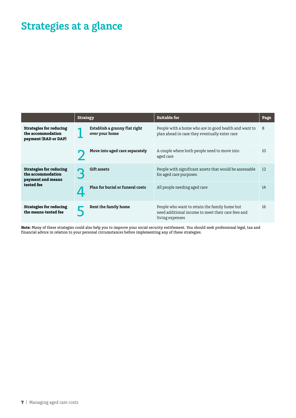# **Strategies at a glance**

|                                                                                        | <b>Strategy</b> |                                                 | <b>Suitable for</b>                                                                                                    | Page |
|----------------------------------------------------------------------------------------|-----------------|-------------------------------------------------|------------------------------------------------------------------------------------------------------------------------|------|
| <b>Strategies for reducing</b><br>the accommodation<br>payment (RAD or DAP)            |                 | Establish a granny flat right<br>over your home | People with a home who are in good health and want to<br>plan ahead in case they eventually enter care                 | 8    |
|                                                                                        |                 | Move into aged care separately                  | A couple where both people need to move into<br>aged care                                                              | 10   |
| <b>Strategies for reducing</b><br>the accommodation<br>payment and means<br>tested fee |                 | Gift assets                                     | People with significant assets that would be assessable<br>for aged care purposes                                      | 12   |
|                                                                                        |                 | Plan for burial or funeral costs                | All people needing aged care                                                                                           | 14   |
| <b>Strategies for reducing</b><br>the means-tested fee                                 |                 | Rent the family home                            | People who want to retain the family home but<br>need additional income to meet their care fees and<br>living expenses | 16   |

**Note:** Many of these strategies could also help you to improve your social security entitlement. You should seek professional legal, tax and financial advice in relation to your personal circumstances before implementing any of these strategies.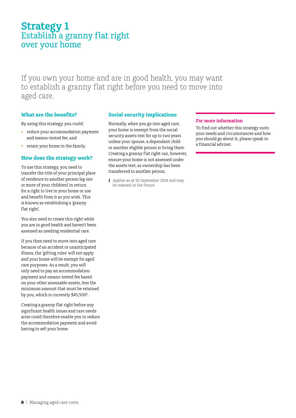## **Strategy 1** Establish a granny flat right over your home

If you own your home and are in good health, you may want to establish a granny flat right before you need to move into aged care.

### **What are the benefits?**

By using this strategy, you could:

- reduce your accommodation payment and means-tested fee, and
- • retain your home in the family.

### **How does the strategy work?**

To use this strategy, you need to transfer the title of your principal place of residence to another person (eg one or more of your children) in return for a right to live in your home or use and benefit from it as you wish. This is known as establishing a 'granny flat right'.

You also need to create this right while you are in good health and haven't been assessed as needing residential care.

If you then need to move into aged care because of an accident or unanticipated illness, the 'gifting rules' will not apply and your home will be exempt for aged care purposes. As a result, you will only need to pay an accommodation payment and means-tested fee based on your other assessable assets, less the minimum amount that must be retained by you, which is currently  $$45,500<sup>1</sup>$  .

Creating a granny flat right before any significant health issues and care needs arise could therefore enable you to reduce the accommodation payment and avoid having to sell your home.

### **Social security implications**

Normally, when you go into aged care, your home is exempt from the social security assets test for up to two years unless your spouse, a dependant child or another eligible person is living there. Creating a granny flat right can, however, ensure your home is not assessed under the assets test, as ownership has been transferred to another person.

**1** Applies as at 20 September 2014 and may be indexed in the future.

### **For more information**

To find out whether this strategy suits your needs and circumstances and how you should go about it, please speak to a financial adviser.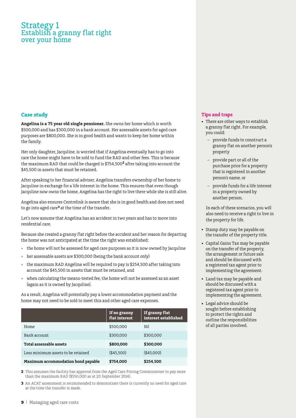### Strategy 1 Establish a granny flat right over your home

### **Case study**

**Angelina is a 75 year old single pensioner.** She owns her home which is worth \$500,000 and has \$300,000 in a bank account. Her assessable assets for aged care purposes are \$800,000. She is in good health and wants to keep her home within the family.

Her only daughter, Jacquline, is worried that if Angelina eventually has to go into care the home might have to be sold to fund the RAD and other fees. This is because the maximum RAD that could be charged is \$754,500**<sup>2</sup>** after taking into account the \$45,500 in assets that must be retained.

After speaking to her financial adviser, Angelina transfers ownership of her home to Jacquline in exchange for a life interest in the home. This ensures that even though Jacquline now owns the home, Angelina has the right to live there while she is still alive.

Angelina also ensures Centrelink is aware that she is in good health and does not need to go into aged care**3** at the time of the transfer.

Let's now assume that Angelina has an accident in two years and has to move into residential care.

Because she created a granny flat right before the accident and her reason for departing the home was not anticipated at the time the right was established:

- the home will not be assessed for aged care purposes as it is now owned by Jacquline
- her assessable assets are \$300,000 (being the bank account only)
- the maximum RAD Angelina will be required to pay is \$254,500 after taking into account the \$45,500 in assets that must be retained, and
- when calculating the means-tested fee, the home will not be assessed as an asset (again as it is owned by Jacquline).

As a result, Angelina will potentially pay a lower accommodation payment and the home may not need to be sold to meet this and other aged care expenses.

|                                    | If no granny<br>flat interest | If granny flat<br>interest established |
|------------------------------------|-------------------------------|----------------------------------------|
| Home                               | \$500.000                     | Nil                                    |
| Bank account                       | \$300,000                     | \$300,000                              |
| Total assessable assets            | \$800,000                     | \$300,000                              |
| Less minimum assets to be retained | ( \$45.500)                   | ( \$45,000)                            |
| Maximum accommodation bond payable | \$754,000                     | \$254,500                              |

**2** This assumes the facility has approval from the Aged Care Pricing Commissioner to pay more than the maximum RAD (\$550,000 as at 20 September 2014).

**3** An ACAT assessment is recommended to demonstrate there is currently no need for aged care at the time the transfer is made.

### **Tips and traps**

- There are other ways to establish a granny flat right. For example, you could:
	- provide funds to construct a granny flat on another person's property
	- provide part or all of the purchase price for a property that is registered in another person's name, or
	- provide funds for a life interest in a property owned by another person.

 In each of these scenarios, you will also need to receive a right to live in the property for life.

- Stamp duty may be payable on the transfer of the property title.
- • Capital Gains Tax may be payable on the transfer of the property, the arrangement or future sale and should be discussed with a registered tax agent prior to implementing the agreement.
- • Land tax may be payable and should be discussed with a registered tax agent prior to implementing the agreement.
- • Legal advice should be sought before establishing to protect the rights and outline the responsibilities of all parties involved.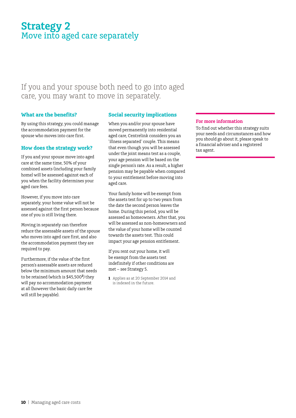## **Strategy 2** Move into aged care separately

### If you and your spouse both need to go into aged care, you may want to move in separately.

### **What are the benefits?**

By using this strategy, you could manage the accommodation payment for the spouse who moves into care first.

### **How does the strategy work?**

If you and your spouse move into aged care at the same time, 50% of your combined assets (including your family home) will be assessed against each of you when the facility determines your aged care fees.

However, if you move into care separately, your home value will not be assessed against the first person because one of you is still living there.

Moving in separately can therefore reduce the assessable assets of the spouse who moves into aged care first, and also the accommodation payment they are required to pay.

Furthermore, if the value of the first person's assessable assets are reduced below the minimum amount that needs to be retained (which is \$45,500**<sup>1</sup>** ) they will pay no accommodation payment at all (however the basic daily care fee will still be payable).

### **Social security implications**

When you and/or your spouse have moved permanently into residential aged care, Centrelink considers you an 'illness separated' couple. This means that even though you will be assessed under the joint means test as a couple, your age pension will be based on the single person's rate. As a result, a higher pension may be payable when compared to your entitlement before moving into aged care.

Your family home will be exempt from the assets test for up to two years from the date the second person leaves the home. During this period, you will be assessed as homeowners. After that, you will be assessed as non-homeowners and the value of your home will be counted towards the assets test. This could impact your age pension entitlement.

If you rent out your home, it will be exempt from the assets test indefinitely if other conditions are met – see Strategy 5.

**1** Applies as at 20 September 2014 and is indexed in the future.

### **For more information**

To find out whether this strategy suits your needs and circumstances and how you should go about it, please speak to a financial adviser and a registered tax agent.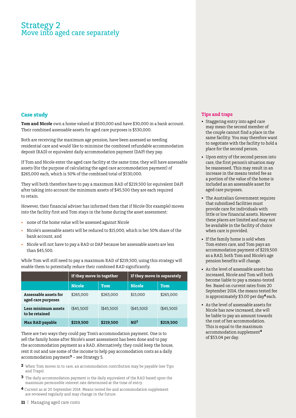### Strategy 2 Move into aged care separately

### **Case study**

**Tom and Nicole** own a home valued at \$500,000 and have \$30,000 in a bank account. Their combined assessable assets for aged care purposes is \$530,000.

Both are receiving the maximum age pension, have been assessed as needing residential care and would like to minimise the combined refundable accommodation deposit (RAD) or equivalent daily accommodation payment (DAP) they pay.

If Tom and Nicole enter the aged care facility at the same time, they will have assessable assets (for the purpose of calculating the aged care accommodation payment) of \$265,000 each, which is 50% of the combined total of \$530,000.

They will both therefore have to pay a maximum RAD of \$219,500 (or equivalent DAP) after taking into account the minimum assets of \$45,500 they are each required to retain.

However, their financial adviser has informed them that if Nicole (for example) moves into the facility first and Tom stays in the home during the asset assessment:

- none of the home value will be assessed against Nicole
- Nicole's assessable assets will be reduced to \$15,000, which is her 50% share of the bank account, and
- Nicole will not have to pay a RAD or DAP because her assessable assets are less than \$45,500.

While Tom will still need to pay a maximum RAD of \$219,500, using this strategy will enable them to potentially reduce their combined RAD significantly.

|                                             | If they move in together |             | If they move in separately |             |
|---------------------------------------------|--------------------------|-------------|----------------------------|-------------|
|                                             | <b>Nicole</b>            | <b>Tom</b>  | <b>Nicole</b>              | <b>Tom</b>  |
| Assessable assets for<br>aged care purposes | \$265,000                | \$265,000   | \$15,000                   | \$265,000   |
| Less minimum assets<br>to be retained       | ( \$45.500)              | ( \$45.500) | ( \$45.500)                | ( \$45.500) |
| <b>Max RAD payable</b>                      | \$219,500                | \$219,500   | Nil <sup>2</sup>           | \$219,500   |

There are two ways they could pay Tom's accommodation payment. One is to sell the family home after Nicole's asset assessment has been done and to pay the accommodation payment as a RAD. Alternatively, they could keep the house, rent it out and use some of the income to help pay accomodation costs as a daily accommodation payment**3** – see Strategy 5.

- **2** When Tom moves in to care, an accommodation contribution may be payable (see Tips and Traps).
- **3** The daily accommodation payment is the daily equivalent of the RAD based upon the maximum permissible interest rate determined at the time of entry.
- **4** Current as at 20 September 2014. Means tested fee and accommodation supplement are reviewed regularly and may change in the future.

### **Tips and traps**

- • Staggering entry into aged care may mean the second member of the couple cannot find a place in the same facility. You may therefore want to negotiate with the facility to hold a place for the second person.
- • Upon entry of the second person into care, the first person's situation may be reassessed. This may result in an increase in the means tested fee as a portion of the value of the home is included as an assessable asset for aged care purposes.
- The Australian Government requires that subsidised facilities must provide care for individuals with little or low financial assets. However these places are limited and may not be available in the facility of choice when care is provided.
- If the family home is sold when Tom enters care, and Tom pays an accommodation payment of \$219,500 as a RAD, both Tom and Nicole's age pension benefits will change.
- As the level of assessable assets has increased, Nicole and Tom will both become liable to pay a means-tested fee. Based on current rates from 20 September 2014, the means tested fee is approximately \$3.00 per day**<sup>4</sup>**each.
- • As the level of assessable assets for Nicole has now increased, she will be liable to pay an amount towards the cost of her accommodation. This is equal to the maximum accommodation supplement**<sup>4</sup>** of \$53.04 per day.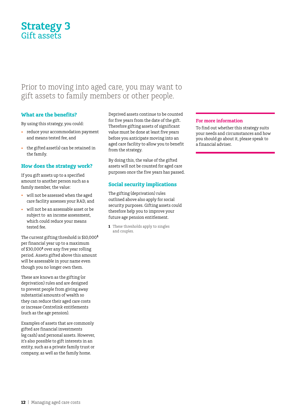## **Strategy 3** Gift assets

### Prior to moving into aged care, you may want to gift assets to family members or other people.

### **What are the benefits?**

By using this strategy, you could:

- reduce your accommodation payment and means tested fee, and
- the gifted asset(s) can be retained in the family.

### **How does the strategy work?**

If you gift assets up to a specified amount to another person such as a family member, the value:

- • will not be assessed when the aged care facility assesses your RAD, and
- • will not be an assessable asset or be subject to an income assessment, which could reduce your means tested fee.

The current gifting threshold is \$10,000**<sup>1</sup>** per financial year up to a maximum of \$30,000**<sup>1</sup>** over any five year rolling period. Assets gifted above this amount will be assessable in your name even though you no longer own them.

These are known as the gifting (or deprivation) rules and are designed to prevent people from giving away substantial amounts of wealth so they can reduce their aged care costs or increase Centrelink entitlements (such as the age pension).

Examples of assets that are commonly gifted are financial investments (eg cash) and personal assets. However, it's also possible to gift interests in an entity, such as a private family trust or company, as well as the family home.

Deprived assets continue to be counted for five years from the date of the gift. Therefore gifting assets of significant value must be done at least five years before you anticipate moving into an aged care facility to allow you to benefit from the strategy.

By doing this, the value of the gifted assets will not be counted for aged care purposes once the five years has passed.

### **Social security implications**

The gifting (deprivation) rules outlined above also apply for social security purposes. Gifting assets could therefore help you to improve your future age pension entitlement.

**1** These thresholds apply to singles and couples.

### **For more information**

To find out whether this strategy suits your needs and circumstances and how you should go about it, please speak to a financial adviser.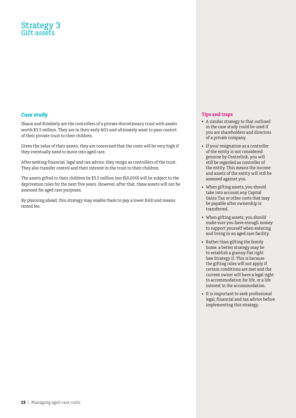### Strategy 3 Gift assets

### **Case study**

Shaun and Kimberly are the controllers of a private discretionary trust with assets worth \$3.5 million. They are in their early 60's and ultimately want to pass control of their private trust to their children.

Given the value of their assets, they are concerned that the costs will be very high if they eventually need to move into aged care.

After seeking financial, legal and tax advice, they resign as controllers of the trust. They also transfer control and their interest in the trust to their children.

The assets gifted to their children (ie \$3.5 million less \$10,000) will be subject to the deprivation rules for the next five years. However, after that, these assets will not be assessed for aged care purposes.

By planning ahead, this strategy may enable them to pay a lower RAD and means tested fee.

### **Tips and traps**

- • A similar strategy to that outlined in the case study could be used if you are shareholders and directors of a private company.
- If your resignation as a controller of the entity is not considered genuine by Centrelink, you will still be regarded as controller of the entity. This means the income and assets of the entity will still be assessed against you.
- When gifting assets, you should take into account any Capital Gains Tax or other costs that may be payable after ownership is transferred.
- • When gifting assets, you should make sure you have enough money to support yourself when entering and living in an aged care facility.
- Rather than gifting the family home, a better strategy may be to establish a granny flat right (see Strategy 1). This is because the gifting rules will not apply if certain conditions are met and the current owner will have a legal right to accommodation for life, or a life interest in the accommodation.
- It is important to seek professional legal, financial and tax advice before implementing this strategy.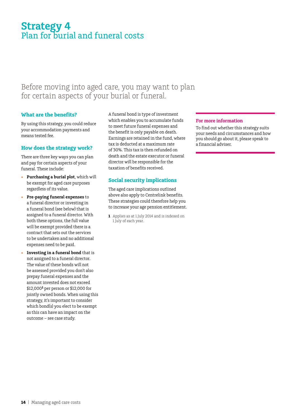## **Strategy 4** Plan for burial and funeral costs

### Before moving into aged care, you may want to plan for certain aspects of your burial or funeral.

### **What are the benefits?**

By using this strategy, you could reduce your accommodation payments and means tested fee.

### **How does the strategy work?**

There are three key ways you can plan and pay for certain aspects of your funeral. These include:

- Purchasing a burial plot, which will be exempt for aged care purposes regardless of its value.
- **Pre-paying funeral expenses** to a funeral director or investing in a funeral bond (see below) that is assigned to a funeral director. With both these options, the full value will be exempt provided there is a contract that sets out the services to be undertaken and no additional expenses need to be paid.
- **Investing in a funeral bond** that is not assigned to a funeral director. The value of these bonds will not be assessed provided you don't also prepay funeral expenses and the amount invested does not exceed \$12,000**<sup>1</sup>** per person or \$12,000 for jointly owned bonds. When using this strategy, it's important to consider which bond(s) you elect to be exempt as this can have an impact on the outcome – see case study.

A funeral bond is type of investment which enables you to accumulate funds to meet future funeral expenses and the benefit is only payable on death. Earnings are retained in the fund, where tax is deducted at a maximum rate of 30%. This tax is then refunded on death and the estate executor or funeral director will be responsible for the taxation of benefits received.

### **Social security implications**

The aged care implications outlined above also apply to Centrelink benefits. These strategies could therefore help you to increase your age pension entitlement.

**1** Applies as at 1 July 2014 and is indexed on 1 July of each year.

### **For more information**

To find out whether this strategy suits your needs and circumstances and how you should go about it, please speak to a financial adviser.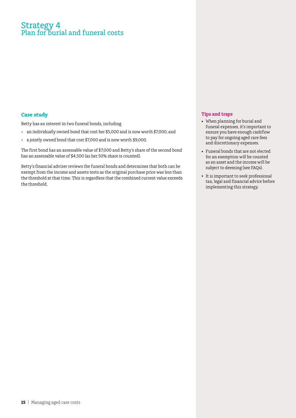### Strategy 4 Plan for burial and funeral costs

### **Case study**

Betty has an interest in two funeral bonds, including

- • an individually owned bond that cost her \$5,000 and is now worth \$7,000, and
- • a jointly owned bond that cost \$7,000 and is now worth \$9,000.

The first bond has an assessable value of \$7,000 and Betty's share of the second bond has an assessable value of \$4,500 (as her 50% share is counted).

Betty's financial adviser reviews the funeral bonds and determines that both can be exempt from the income and assets tests as the original purchase price was less than the threshold at that time. This is regardless that the combined current value exceeds the threshold.

### **Tips and traps**

- • When planning for burial and funeral expenses, it's important to ensure you have enough cashflow to pay for ongoing aged care fees and discretionary expenses.
- Funeral bonds that are not elected for an exemption will be counted as an asset and the income will be subject to deeming (see FAQs).
- It is important to seek professional tax, legal and financial advice before implementing this strategy.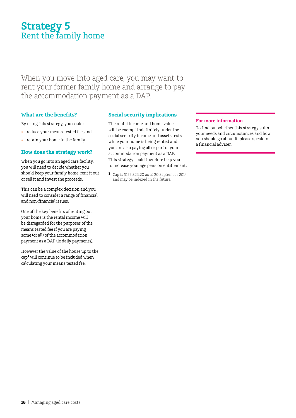## **Strategy 5** Rent the family home

When you move into aged care, you may want to rent your former family home and arrange to pay the accommodation payment as a DAP.

### **What are the benefits?**

By using this strategy, you could:

- • reduce your means-tested fee, and
- • retain your home in the family.

### **How does the strategy work?**

When you go into an aged care facility, you will need to decide whether you should keep your family home, rent it out or sell it and invest the proceeds.

This can be a complex decision and you will need to consider a range of financial and non-financial issues.

One of the key benefits of renting out your home is the rental income will be disregarded for the purposes of the means tested fee if you are paying some (or all) of the accommodation payment as a DAP (ie daily payments).

However the value of the house up to the cap**<sup>1</sup>** will continue to be included when calculating your means tested fee.

### **Social security implications**

The rental income and home value will be exempt indefinitely under the social security income and assets tests while your home is being rented and you are also paying all or part of your accommodation payment as a DAP. This strategy could therefore help you to increase your age pension entitlement.

**1** Cap is \$155,823.20 as at 20 September 2014 and may be indexed in the future.

### **For more information**

To find out whether this strategy suits your needs and circumstances and how you should go about it, please speak to a financial adviser.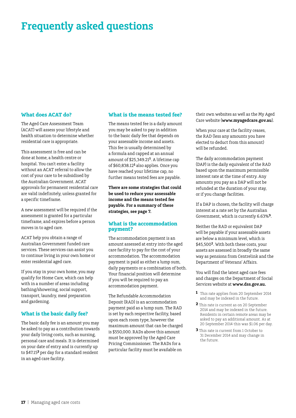# **Frequently asked questions**

### **What does ACAT do?**

The Aged Care Assessment Team (ACAT) will assess your lifestyle and health situation to determine whether residential care is appropriate.

This assessment is free and can be done at home, a health centre or hospital. You can't enter a facility without an ACAT referral to allow the cost of your care to be subsidised by the Australian Government. ACAT approvals for permanent residential care are valid indefinitely, unless granted for a specific timeframe.

A new assessment will be required if the assessment is granted for a particular timeframe, and expires before a person moves in to aged care.

ACAT help you obtain a range of Australian Government funded care services. These services can assist you to continue living in your own home or enter residential aged care.

If you stay in your own home, you may qualify for Home Care, which can help with in a number of areas including bathing/showering, social support, transport, laundry, meal preparation and gardening.

### **What is the basic daily fee?**

The basic daily fee is an amount you may be asked to pay as a contribution towards your daily living costs, such as nursing, personal care and meals. It is determined on your date of entry and is currently up to \$47.15**<sup>2</sup>** per day for a standard resident in an aged care facility.

### **What is the means tested fee?**

The means tested fee is a daily amount you may be asked to pay in addition to the basic daily fee that depends on your assessable income and assets. This fee is usually determined by a formula and capped at an annual amount of \$25,349.21**<sup>1</sup>**. A lifetime cap of \$60,838.12**<sup>1</sup>** also applies. Once you have reached your lifetime cap, no further means tested fees are payable.

**There are some strategies that could be used to reduce your assessable income and the means tested fee payable. For a summary of these strategies, see page 7.**

### **What is the accommodation payment?**

The accommodation payment is an amount assessed at entry into the aged care facility to pay for the cost of your accommodation. The accommodation payment is paid as either a lump sum, daily payments or a combination of both. Your financial position will determine if you will be required to pay an accommodation payment.

The Refundable Accommodation Deposit (RAD) is an accommodation payment paid as a lump sum. The RAD is set by each respective facility, based upon each room type, however the maximum amount that can be charged is \$550,000. RADs above this amount must be approved by the Aged Care Pricing Commissioner. The RADs for a particular facility must be available on

their own websites as well as the My Aged Care website (**www.myagedcare.gov.au**).

When your care at the facility ceases, the RAD (less any amounts you have elected to deduct from this amount) will be refunded.

The daily accommodation payment (DAP) is the daily equivalent of the RAD based upon the maximum permissible interest rate at the time of entry. Any amounts you pay as a DAP will not be refunded at the duration of your stay, or if you change facilities.

If a DAP is chosen, the facility will charge interest at a rate set by the Australian Government, which is currently 6.63%**3**.

Neither the RAD or equivalent DAP will be payable if your assessable assets are below a minimum level, which is \$45,500**2**. With both these costs, your assets are assessed in broadly the same way as pensions from Centrelink and the Department of Veterans' Affairs.

You will find the latest aged care fees and charges on the Department of Social Services website at **www.dss.gov.au.**

- **1** This rate applies from 20 September 2014 and may be indexed in the future.
- **2** This rate is current as on 20 September 2014 and may be indexed in the future. Residents in certain remote areas may be asked to pay an additional amount. As at 20 September 2014 this was \$1.06 per day.
- **3** This rate is current from 1 October to 31 December 2014 and may change in the future.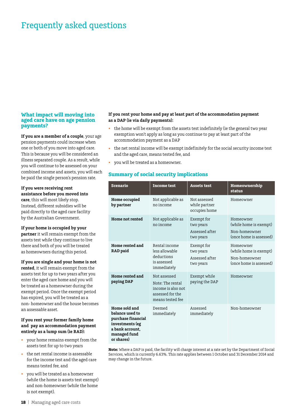## Frequently asked questions

### **What impact will moving into aged care have on age pension payments?**

**If you are a member of a couple**, your age pension payments could increase when one or both of you move into aged care. This is because you will be considered an illness separated couple. As a result, while you will continue to be assessed on your combined income and assets, you will each be paid the single person's pension rate.

**If you were receiving rent assistance before you moved into care**, this will most likely stop. Instead, different subsidies will be paid directly to the aged care facility by the Australian Government.

#### **If your home is occupied by your**

**partner** it will remain exempt from the assets test while they continue to live there and both of you will be treated as homeowners during this period.

#### **If you are single and your home is not**

**rented**, it will remain exempt from the assets test for up to two years after you enter the aged care home and you will be treated as a homeowner during the exempt period. Once the exempt period has expired, you will be treated as a non- homeowner and the house becomes an assessable asset.

#### **If you rent your former family home and pay an accommodation payment entirely as a lump sum (ie RAD):**

- your home remains exempt from the assets test for up to two years
- the net rental income is assessable for the income test and the aged care means tested fee, and
- you will be treated as a homeowner (while the home is assets test exempt) and non-homeowner (while the home is not exempt).

#### **If you rent your home and pay at least part of the accommodation payment as a DAP (ie via daily payments):**

- the home will be exempt from the assets test indefinitely (ie the general two year exemption won't apply as long as you continue to pay at least part of the accommodation payment as a DAP
- the net rental income will be exempt indefinitely for the social security income test and the aged care, means tested fee, and
- you will be treated as a homeowner.

### **Summary of social security implications**

| <b>Scenario</b>                                                                                                            | <b>Income test</b>                                                                             | <b>Assets test</b>                                     | Homeownership<br>status                                                         |
|----------------------------------------------------------------------------------------------------------------------------|------------------------------------------------------------------------------------------------|--------------------------------------------------------|---------------------------------------------------------------------------------|
| Home occupied<br>by partner                                                                                                | Not applicable as<br>no income                                                                 | Not assessed<br>while partner<br>occupies home         | Homeowner                                                                       |
| Home not rented                                                                                                            | Not applicable as<br>no income                                                                 | Exempt for<br>two years<br>Assessed after<br>two years | Homeowner<br>(while home is exempt)<br>Non-homeowner<br>(once home is assessed) |
| Home rented and<br><b>RAD</b> paid                                                                                         | Rental income<br>less allowable<br>deductions<br>is assessed<br>immediately                    | Exempt for<br>two years<br>Assessed after<br>two years | Homeowner<br>(while home is exempt)<br>Non-homeowner<br>(once home is assessed) |
| Home rented and<br>paying DAP                                                                                              | Not assessed<br>Note: The rental<br>income is also not<br>assessed for the<br>means tested fee | Exempt while<br>paying the DAP                         | Homeowner                                                                       |
| Home sold and<br>balance used to<br>purchase financial<br>investments (eg<br>a bank account.<br>managed fund<br>or shares) | Deemed<br>immediately                                                                          | Assessed<br>immediately                                | Non-homeowner                                                                   |

**Note:** Where a DAP is paid, the facility will charge interest at a rate set by the Department of Social Services, which is currently 6.63%. This rate applies between 1 October and 31 December 2014 and may change in the future.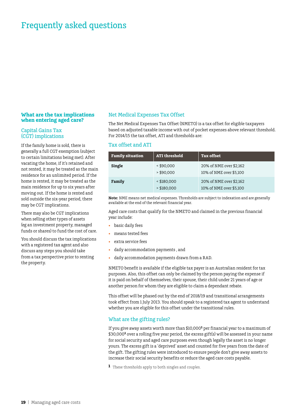## Frequently asked questions

### **What are the tax implications when entering aged care?**

### Capital Gains Tax (CGT) implications

If the family home is sold, there is generally a full CGT exemption (subject to certain limitations being met). After vacating the home, if it's retained and not rented, it may be treated as the main residence for an unlimited period. If the home is rented, it may be treated as the main residence for up to six years after moving out. If the home is rented and sold outside the six-year period, there may be CGT implications.

There may also be CGT implications when selling other types of assets (eg an investment property, managed funds or shares) to fund the cost of care.

You should discuss the tax implications with a registered tax agent and also discuss any steps you should take from a tax perspective prior to renting the property.

### Net Medical Expenses Tax Offset

The Net Medical Expenses Tax Offset (NMETO) is a tax offset for eligible taxpayers based on adjusted taxable income with out of pocket expenses above relevant threshold. For 2014/15 the tax offset, ATI and thresholds are:

### Tax offset and ATI

| <b>Family situation</b> | <b>ATI</b> threshold         | <b>Tax offset</b>                                  |
|-------------------------|------------------------------|----------------------------------------------------|
| Single                  | < \$90,000<br>> \$90.000     | 20% of NME over \$2,162<br>10% of NME over \$5,100 |
| Family                  | $<$ \$180,000<br>> \$180,000 | 20% of NME over \$2,162<br>10% of NME over \$5,100 |

**Note:** NME means net medical expenses. Thresholds are subject to indexation and are generally available at the end of the relevant financial year.

Aged care costs that qualify for the NMETO and claimed in the previous financial year include:

- basic daily fees
- means tested fees
- extra service fees
- • daily accommodation payments , and
- daily accommodation payments drawn from a RAD.

NMETO benefit is available if the eligible tax payer is an Australian resident for tax purposes. Also, this offset can only be claimed by the person paying the expense if it is paid on behalf of themselves, their spouse, their child under 21 years of age or another person for whom they are eligible to claim a dependant rebate.

This offset will be phased out by the end of 2018/19 and transitional arrangements took effect from 1 July 2013. You should speak to a registered tax agent to understand whether you are eligible for this offset under the transitional rules.

### What are the gifting rules?

If you give away assets worth more than \$10,000<sup>1</sup> per financial year to a maximum of \$30,000<sup>1</sup> over a rolling five year period, the excess gift(s) will be assessed in your name for social security and aged care purposes even though legally the asset is no longer yours. The excess gift is a 'deprived' asset and counted for five years from the date of the gift. The gifting rules were introduced to ensure people don't give away assets to increase their social security benefits or reduce the aged care costs payable.

**1** These thresholds apply to both singles and couples.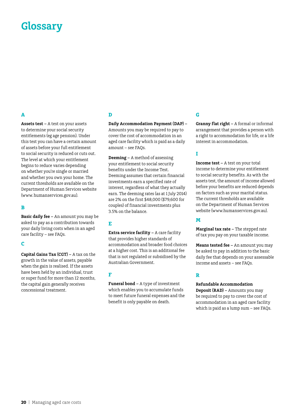# **Glossary**

### **A**

**Assets test –** A test on your assets to determine your social security entitlements (eg age pension). Under this test you can have a certain amount of assets before your full entitlement to social security is reduced or cuts out. The level at which your entitlement begins to reduce varies depending on whether you're single or married and whether you own your home. The current thresholds are available on the Department of Human Services website (www. humanservices.gov.au).

### **B**

**Basic daily fee –** An amount you may be asked to pay as a contribution towards your daily living costs when in an aged care facility – see FAQs.

### **C**

**Capital Gains Tax (CGT) –** A tax on the growth in the value of assets, payable when the gain is realised. If the assets have been held by an individual, trust or super fund for more than 12 months, the capital gain generally receives concessional treatment.

### **D**

**Daily Accommodation Payment (DAP) –** Amounts you may be required to pay to cover the cost of accommodation in an aged care facility which is paid as a daily amount – see FAQs.

**Deeming –** A method of assessing your entitlement to social security benefits under the Income Test. Deeming assumes that certain financial investments earn a specified rate of interest, regardless of what they actually earn. The deeming rates (as at 1 July 2014) are 2% on the first \$48,000 (\$79,600 for couples) of financial investments plus 3.5% on the balance.

### **E**

**Extra service facility –** A care facility that provides higher standards of accommodation and broader food choices at a higher cost. This is an additional fee that is not regulated or subsidised by the Australian Government.

### **F**

**Funeral bond –** A type of investment which enables you to accumulate funds to meet future funeral expenses and the benefit is only payable on death.

### **G**

**Granny flat right –** A formal or informal arrangement that provides a person with a right to accommodation for life, or a life interest in accommodation.

### **I**

**Income test –** A test on your total income to determine your entitlement to social security benefits. As with the assets test, the amount of income allowed before your benefits are reduced depends on factors such as your marital status. The current thresholds are available on the Department of Human Services website (www.humanservices.gov.au).

### **M**

**Marginal tax rate –** The stepped rate of tax you pay on your taxable income.

**Means tested fee –** An amount you may be asked to pay in addition to the basic daily fee that depends on your assessable income and assets – see FAQs.

### **R**

#### **Refundable Accommodation**

**Deposit (RAD) –** Amounts you may be required to pay to cover the cost of accommodation in an aged care facility which is paid as a lump sum – see FAQs.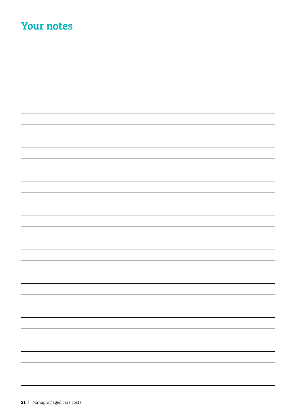# **Your notes**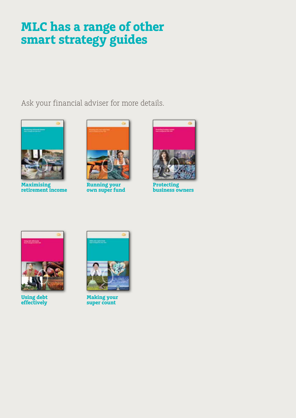# **MLC has a range of other smart strategy guides**

Ask your financial adviser for more details.



**Maximising retirement income**



**Running your own super fund**



**Protecting business owners**



**Using debt effectively**



**Making your super count**